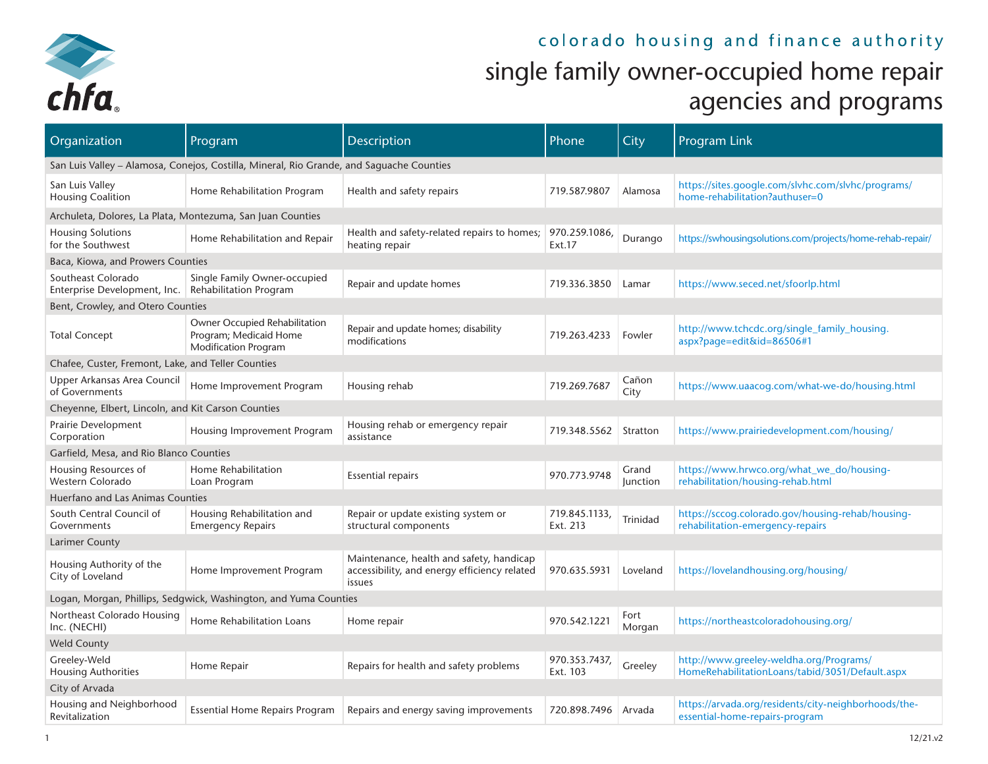

## colorado housing and finance authority single family owner-occupied home repair agencies and programs

| Organization                                                                | Program                                                                                  | Description                                                                                        | Phone                     | City              | <b>Program Link</b>                                                                        |  |  |  |  |  |  |
|-----------------------------------------------------------------------------|------------------------------------------------------------------------------------------|----------------------------------------------------------------------------------------------------|---------------------------|-------------------|--------------------------------------------------------------------------------------------|--|--|--|--|--|--|
|                                                                             | San Luis Valley – Alamosa, Conejos, Costilla, Mineral, Rio Grande, and Saguache Counties |                                                                                                    |                           |                   |                                                                                            |  |  |  |  |  |  |
| San Luis Valley<br><b>Housing Coalition</b>                                 | Home Rehabilitation Program                                                              | Health and safety repairs                                                                          | 719.587.9807              | Alamosa           | https://sites.google.com/slvhc.com/slvhc/programs/<br>home-rehabilitation?authuser=0       |  |  |  |  |  |  |
| Archuleta, Dolores, La Plata, Montezuma, San Juan Counties                  |                                                                                          |                                                                                                    |                           |                   |                                                                                            |  |  |  |  |  |  |
| <b>Housing Solutions</b><br>for the Southwest                               | Home Rehabilitation and Repair                                                           | Health and safety-related repairs to homes;<br>heating repair                                      | 970.259.1086,<br>Ext.17   | Durango           | https://swhousingsolutions.com/projects/home-rehab-repair/                                 |  |  |  |  |  |  |
| Baca, Kiowa, and Prowers Counties                                           |                                                                                          |                                                                                                    |                           |                   |                                                                                            |  |  |  |  |  |  |
| Southeast Colorado<br>Enterprise Development, Inc.   Rehabilitation Program | Single Family Owner-occupied                                                             | Repair and update homes                                                                            | 719.336.3850              | Lamar             | https://www.seced.net/sfoorlp.html                                                         |  |  |  |  |  |  |
| Bent, Crowley, and Otero Counties                                           |                                                                                          |                                                                                                    |                           |                   |                                                                                            |  |  |  |  |  |  |
| <b>Total Concept</b>                                                        | Owner Occupied Rehabilitation<br>Program; Medicaid Home<br><b>Modification Program</b>   | Repair and update homes; disability<br>modifications                                               | 719.263.4233              | Fowler            | http://www.tchcdc.org/single_family_housing.<br>aspx?page=edit&id=86506#1                  |  |  |  |  |  |  |
| Chafee, Custer, Fremont, Lake, and Teller Counties                          |                                                                                          |                                                                                                    |                           |                   |                                                                                            |  |  |  |  |  |  |
| Upper Arkansas Area Council<br>of Governments                               | Home Improvement Program                                                                 | Housing rehab                                                                                      | 719.269.7687              | Cañon<br>City     | https://www.uaacog.com/what-we-do/housing.html                                             |  |  |  |  |  |  |
| Cheyenne, Elbert, Lincoln, and Kit Carson Counties                          |                                                                                          |                                                                                                    |                           |                   |                                                                                            |  |  |  |  |  |  |
| Prairie Development<br>Corporation                                          | Housing Improvement Program                                                              | Housing rehab or emergency repair<br>assistance                                                    | 719.348.5562              | Stratton          | https://www.prairiedevelopment.com/housing/                                                |  |  |  |  |  |  |
| Garfield, Mesa, and Rio Blanco Counties                                     |                                                                                          |                                                                                                    |                           |                   |                                                                                            |  |  |  |  |  |  |
| Housing Resources of<br>Western Colorado                                    | Home Rehabilitation<br>Loan Program                                                      | <b>Essential repairs</b>                                                                           | 970.773.9748              | Grand<br>Junction | https://www.hrwco.org/what_we_do/housing-<br>rehabilitation/housing-rehab.html             |  |  |  |  |  |  |
| Huerfano and Las Animas Counties                                            |                                                                                          |                                                                                                    |                           |                   |                                                                                            |  |  |  |  |  |  |
| South Central Council of<br>Governments                                     | Housing Rehabilitation and<br><b>Emergency Repairs</b>                                   | Repair or update existing system or<br>structural components                                       | 719.845.1133,<br>Ext. 213 | Trinidad          | https://sccoq.colorado.gov/housing-rehab/housing-<br>rehabilitation-emergency-repairs      |  |  |  |  |  |  |
| Larimer County                                                              |                                                                                          |                                                                                                    |                           |                   |                                                                                            |  |  |  |  |  |  |
| Housing Authority of the<br>City of Loveland                                | Home Improvement Program                                                                 | Maintenance, health and safety, handicap<br>accessibility, and energy efficiency related<br>issues | 970.635.5931              | Loveland          | https://lovelandhousing.org/housing/                                                       |  |  |  |  |  |  |
|                                                                             | Logan, Morgan, Phillips, Sedgwick, Washington, and Yuma Counties                         |                                                                                                    |                           |                   |                                                                                            |  |  |  |  |  |  |
| Northeast Colorado Housing<br>Inc. (NECHI)                                  | Home Rehabilitation Loans                                                                | Home repair                                                                                        | 970.542.1221              | Fort<br>Morgan    | https://northeastcoloradohousing.org/                                                      |  |  |  |  |  |  |
| <b>Weld County</b>                                                          |                                                                                          |                                                                                                    |                           |                   |                                                                                            |  |  |  |  |  |  |
| Greeley-Weld<br><b>Housing Authorities</b>                                  | Home Repair                                                                              | Repairs for health and safety problems                                                             | 970.353.7437,<br>Ext. 103 | Greeley           | http://www.greeley-weldha.org/Programs/<br>HomeRehabilitationLoans/tabid/3051/Default.aspx |  |  |  |  |  |  |
| City of Arvada                                                              |                                                                                          |                                                                                                    |                           |                   |                                                                                            |  |  |  |  |  |  |
| Housing and Neighborhood<br>Revitalization                                  | <b>Essential Home Repairs Program</b>                                                    | Repairs and energy saving improvements                                                             | 720.898.7496              | Arvada            | https://arvada.org/residents/city-neighborhoods/the-<br>essential-home-repairs-program     |  |  |  |  |  |  |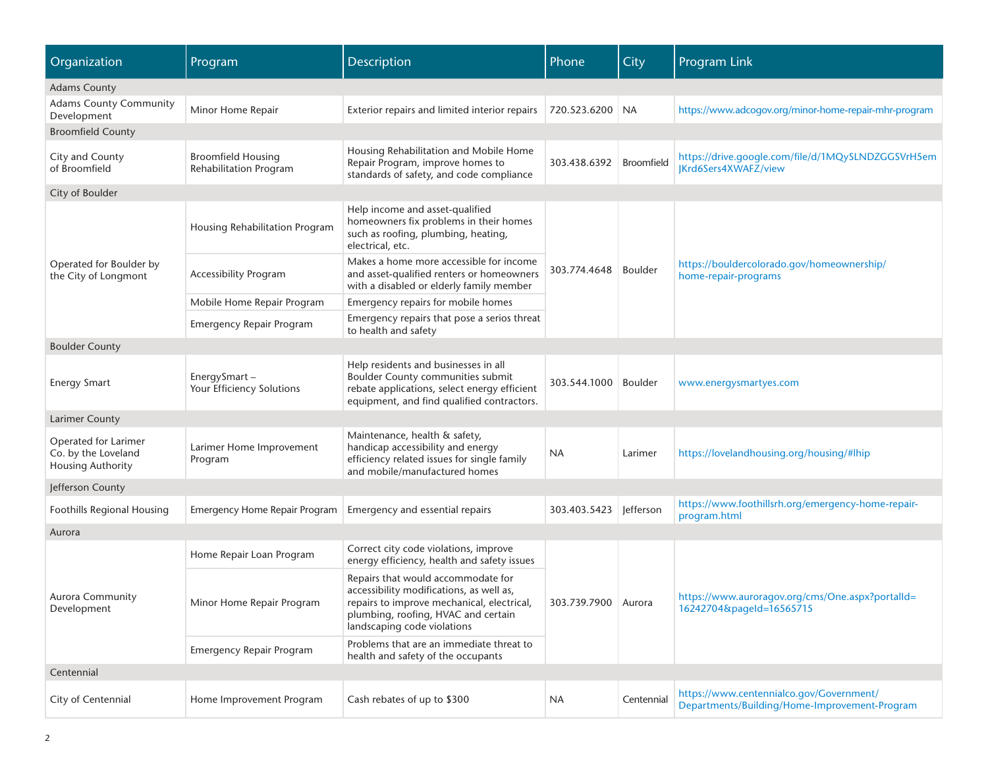| Organization                                                            | Program                                             | Description                                                                                                                                                                                        | Phone               | City              | Program Link                                                                              |  |  |  |  |  |
|-------------------------------------------------------------------------|-----------------------------------------------------|----------------------------------------------------------------------------------------------------------------------------------------------------------------------------------------------------|---------------------|-------------------|-------------------------------------------------------------------------------------------|--|--|--|--|--|
| <b>Adams County</b>                                                     |                                                     |                                                                                                                                                                                                    |                     |                   |                                                                                           |  |  |  |  |  |
| <b>Adams County Community</b><br>Development                            | Minor Home Repair                                   | Exterior repairs and limited interior repairs                                                                                                                                                      | 720.523.6200 NA     |                   | https://www.adcogov.org/minor-home-repair-mhr-program                                     |  |  |  |  |  |
| <b>Broomfield County</b>                                                |                                                     |                                                                                                                                                                                                    |                     |                   |                                                                                           |  |  |  |  |  |
| City and County<br>of Broomfield                                        | <b>Broomfield Housing</b><br>Rehabilitation Program | Housing Rehabilitation and Mobile Home<br>Repair Program, improve homes to<br>standards of safety, and code compliance                                                                             | 303.438.6392        | <b>Broomfield</b> | https://drive.google.com/file/d/1MQySLNDZGGSVrH5em<br><b>IKrd6Sers4XWAFZ/view</b>         |  |  |  |  |  |
| City of Boulder                                                         |                                                     |                                                                                                                                                                                                    |                     |                   |                                                                                           |  |  |  |  |  |
|                                                                         | Housing Rehabilitation Program                      | Help income and asset-qualified<br>homeowners fix problems in their homes<br>such as roofing, plumbing, heating,<br>electrical, etc.                                                               |                     | <b>Boulder</b>    |                                                                                           |  |  |  |  |  |
| Operated for Boulder by<br>the City of Longmont                         | <b>Accessibility Program</b>                        | Makes a home more accessible for income<br>and asset-qualified renters or homeowners<br>with a disabled or elderly family member                                                                   | 303.774.4648        |                   | https://bouldercolorado.gov/homeownership/<br>home-repair-programs                        |  |  |  |  |  |
|                                                                         | Mobile Home Repair Program                          | Emergency repairs for mobile homes                                                                                                                                                                 |                     |                   |                                                                                           |  |  |  |  |  |
|                                                                         | <b>Emergency Repair Program</b>                     | Emergency repairs that pose a serios threat<br>to health and safety                                                                                                                                |                     |                   |                                                                                           |  |  |  |  |  |
| <b>Boulder County</b>                                                   |                                                     |                                                                                                                                                                                                    |                     |                   |                                                                                           |  |  |  |  |  |
| <b>Energy Smart</b>                                                     | EnergySmart-<br>Your Efficiency Solutions           | Help residents and businesses in all<br><b>Boulder County communities submit</b><br>rebate applications, select energy efficient<br>equipment, and find qualified contractors.                     | 303.544.1000        | <b>Boulder</b>    | www.energysmartyes.com                                                                    |  |  |  |  |  |
| <b>Larimer County</b>                                                   |                                                     |                                                                                                                                                                                                    |                     |                   |                                                                                           |  |  |  |  |  |
| Operated for Larimer<br>Co. by the Loveland<br><b>Housing Authority</b> | Larimer Home Improvement<br>Program                 | Maintenance, health & safety,<br>handicap accessibility and energy<br>efficiency related issues for single family<br>and mobile/manufactured homes                                                 | NA                  | Larimer           | https://lovelandhousing.org/housing/#lhip                                                 |  |  |  |  |  |
| Jefferson County                                                        |                                                     |                                                                                                                                                                                                    |                     |                   |                                                                                           |  |  |  |  |  |
| Foothills Regional Housing                                              | <b>Emergency Home Repair Program</b>                | Emergency and essential repairs                                                                                                                                                                    | 303.403.5423        | Jefferson         | https://www.foothillsrh.org/emergency-home-repair-<br>program.html                        |  |  |  |  |  |
| Aurora                                                                  |                                                     |                                                                                                                                                                                                    |                     |                   |                                                                                           |  |  |  |  |  |
|                                                                         | Home Repair Loan Program                            | Correct city code violations, improve<br>energy efficiency, health and safety issues                                                                                                               |                     |                   |                                                                                           |  |  |  |  |  |
| <b>Aurora Community</b><br>Development                                  | Minor Home Repair Program                           | Repairs that would accommodate for<br>accessibility modifications, as well as,<br>repairs to improve mechanical, electrical,<br>plumbing, roofing, HVAC and certain<br>landscaping code violations | 303.739.7900 Aurora |                   | https://www.auroragov.org/cms/One.aspx?portalId=<br>16242704&pageId=16565715              |  |  |  |  |  |
|                                                                         | <b>Emergency Repair Program</b>                     | Problems that are an immediate threat to<br>health and safety of the occupants                                                                                                                     |                     |                   |                                                                                           |  |  |  |  |  |
| Centennial                                                              |                                                     |                                                                                                                                                                                                    |                     |                   |                                                                                           |  |  |  |  |  |
| City of Centennial                                                      | Home Improvement Program                            | Cash rebates of up to \$300                                                                                                                                                                        | <b>NA</b>           | Centennial        | https://www.centennialco.gov/Government/<br>Departments/Building/Home-Improvement-Program |  |  |  |  |  |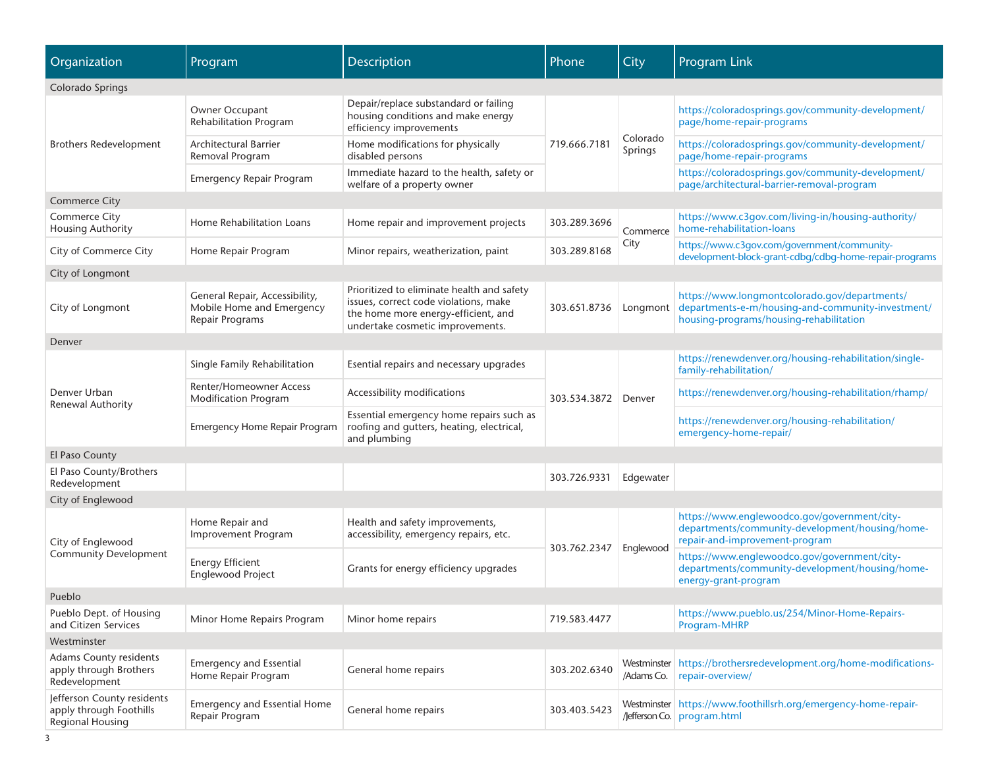| Organization                                                                     | Program                                                                        | Description                                                                                                                                                    | Phone               | City                      | <b>Program Link</b>                                                                                                                           |
|----------------------------------------------------------------------------------|--------------------------------------------------------------------------------|----------------------------------------------------------------------------------------------------------------------------------------------------------------|---------------------|---------------------------|-----------------------------------------------------------------------------------------------------------------------------------------------|
| Colorado Springs                                                                 |                                                                                |                                                                                                                                                                |                     |                           |                                                                                                                                               |
| <b>Brothers Redevelopment</b>                                                    | Owner Occupant<br>Rehabilitation Program                                       | Depair/replace substandard or failing<br>housing conditions and make energy<br>efficiency improvements                                                         | 719.666.7181        |                           | https://coloradosprings.gov/community-development/<br>page/home-repair-programs                                                               |
|                                                                                  | <b>Architectural Barrier</b><br>Removal Program                                | Home modifications for physically<br>disabled persons                                                                                                          |                     | Colorado<br>Springs       | https://coloradosprings.gov/community-development/<br>page/home-repair-programs                                                               |
|                                                                                  | <b>Emergency Repair Program</b>                                                | Immediate hazard to the health, safety or<br>welfare of a property owner                                                                                       |                     |                           | https://coloradosprings.gov/community-development/<br>page/architectural-barrier-removal-program                                              |
| <b>Commerce City</b>                                                             |                                                                                |                                                                                                                                                                |                     |                           |                                                                                                                                               |
| Commerce City<br><b>Housing Authority</b>                                        | Home Rehabilitation Loans                                                      | Home repair and improvement projects                                                                                                                           | 303.289.3696        | Commerce                  | https://www.c3gov.com/living-in/housing-authority/<br>home-rehabilitation-loans                                                               |
| City of Commerce City                                                            | Home Repair Program                                                            | Minor repairs, weatherization, paint                                                                                                                           | 303.289.8168        | City                      | https://www.c3gov.com/government/community-<br>development-block-grant-cdbg/cdbg-home-repair-programs                                         |
| City of Longmont                                                                 |                                                                                |                                                                                                                                                                |                     |                           |                                                                                                                                               |
| City of Longmont                                                                 | General Repair, Accessibility,<br>Mobile Home and Emergency<br>Repair Programs | Prioritized to eliminate health and safety<br>issues, correct code violations, make<br>the home more energy-efficient, and<br>undertake cosmetic improvements. | 303.651.8736        | Longmont                  | https://www.longmontcolorado.gov/departments/<br>departments-e-m/housing-and-community-investment/<br>housing-programs/housing-rehabilitation |
| Denver                                                                           |                                                                                |                                                                                                                                                                |                     |                           |                                                                                                                                               |
|                                                                                  | Single Family Rehabilitation                                                   | Esential repairs and necessary upgrades                                                                                                                        | 303.534.3872 Denver |                           | https://renewdenver.org/housing-rehabilitation/single-<br>family-rehabilitation/                                                              |
| Denver Urban<br><b>Renewal Authority</b>                                         | <b>Renter/Homeowner Access</b><br><b>Modification Program</b>                  | Accessibility modifications                                                                                                                                    |                     |                           | https://renewdenver.org/housing-rehabilitation/rhamp/                                                                                         |
|                                                                                  | <b>Emergency Home Repair Program</b>                                           | Essential emergency home repairs such as<br>roofing and gutters, heating, electrical,<br>and plumbing                                                          |                     |                           | https://renewdenver.org/housing-rehabilitation/<br>emergency-home-repair/                                                                     |
| El Paso County                                                                   |                                                                                |                                                                                                                                                                |                     |                           |                                                                                                                                               |
| El Paso County/Brothers<br>Redevelopment                                         |                                                                                |                                                                                                                                                                | 303.726.9331        | Edgewater                 |                                                                                                                                               |
| City of Englewood                                                                |                                                                                |                                                                                                                                                                |                     |                           |                                                                                                                                               |
| City of Englewood                                                                | Home Repair and<br><b>Improvement Program</b>                                  | Health and safety improvements,<br>accessibility, emergency repairs, etc.                                                                                      |                     |                           | https://www.englewoodco.gov/government/city-<br>departments/community-development/housing/home-<br>repair-and-improvement-program             |
| <b>Community Development</b>                                                     | <b>Energy Efficient</b><br><b>Englewood Project</b>                            | Grants for energy efficiency upgrades                                                                                                                          | 303.762.2347        | Englewood                 | https://www.englewoodco.gov/government/city-<br>departments/community-development/housing/home-<br>energy-grant-program                       |
| Pueblo                                                                           |                                                                                |                                                                                                                                                                |                     |                           |                                                                                                                                               |
| Pueblo Dept. of Housing<br>and Citizen Services                                  | Minor Home Repairs Program                                                     | Minor home repairs                                                                                                                                             | 719.583.4477        |                           | https://www.pueblo.us/254/Minor-Home-Repairs-<br>Program-MHRP                                                                                 |
| Westminster                                                                      |                                                                                |                                                                                                                                                                |                     |                           |                                                                                                                                               |
| Adams County residents<br>apply through Brothers<br>Redevelopment                | <b>Emergency and Essential</b><br>Home Repair Program                          | General home repairs                                                                                                                                           | 303.202.6340        | Westminster<br>/Adams Co. | https://brothersredevelopment.org/home-modifications-<br>repair-overview/                                                                     |
| Jefferson County residents<br>apply through Foothills<br><b>Regional Housing</b> | <b>Emergency and Essential Home</b><br>Repair Program                          | General home repairs                                                                                                                                           | 303.403.5423        |                           | Westminster https://www.foothillsrh.org/emergency-home-repair-<br>/Jefferson Co. program.html                                                 |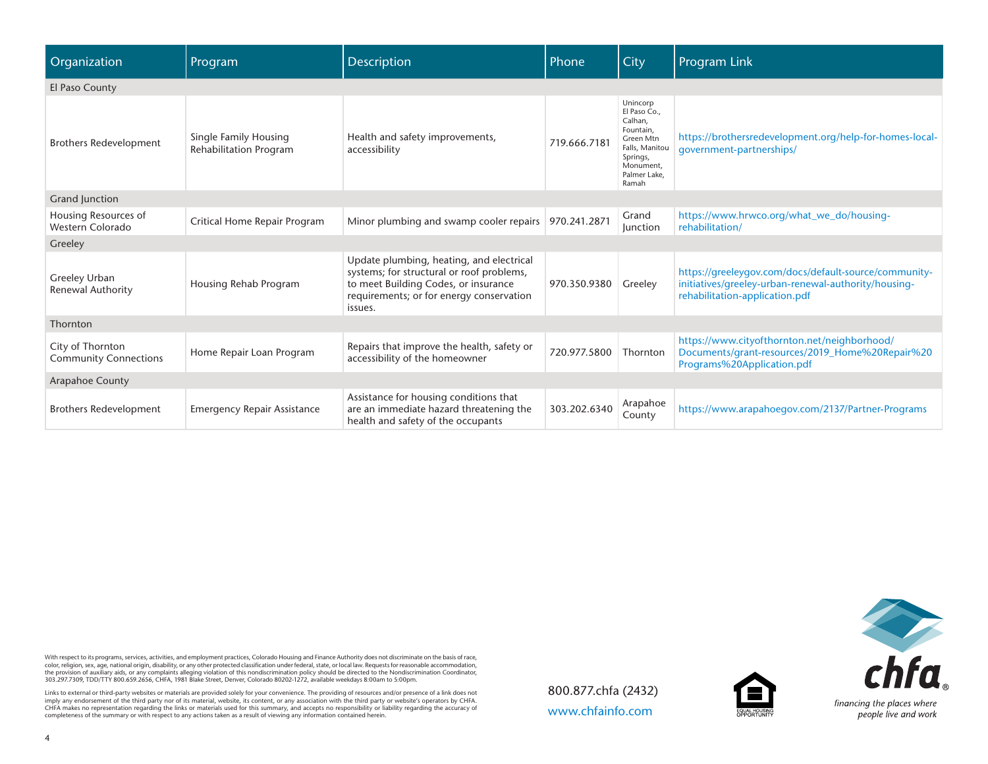| Organization                                     | Program                                                | <b>Description</b>                                                                                                                                                                   | Phone        | City                                                                                                                              | <b>Program Link</b>                                                                                                                             |  |  |  |  |  |  |  |
|--------------------------------------------------|--------------------------------------------------------|--------------------------------------------------------------------------------------------------------------------------------------------------------------------------------------|--------------|-----------------------------------------------------------------------------------------------------------------------------------|-------------------------------------------------------------------------------------------------------------------------------------------------|--|--|--|--|--|--|--|
| El Paso County                                   |                                                        |                                                                                                                                                                                      |              |                                                                                                                                   |                                                                                                                                                 |  |  |  |  |  |  |  |
| <b>Brothers Redevelopment</b>                    | Single Family Housing<br><b>Rehabilitation Program</b> | Health and safety improvements,<br>accessibility                                                                                                                                     | 719.666.7181 | Unincorp<br>El Paso Co.,<br>Calhan,<br>Fountain,<br>Green Mtn<br>Falls, Manitou<br>Springs,<br>Monument,<br>Palmer Lake,<br>Ramah | https://brothersredevelopment.org/help-for-homes-local-<br>qovernment-partnerships/                                                             |  |  |  |  |  |  |  |
| <b>Grand Junction</b>                            |                                                        |                                                                                                                                                                                      |              |                                                                                                                                   |                                                                                                                                                 |  |  |  |  |  |  |  |
| Housing Resources of<br>Western Colorado         | Critical Home Repair Program                           | Minor plumbing and swamp cooler repairs                                                                                                                                              | 970.241.2871 | Grand<br><b>Junction</b>                                                                                                          | https://www.hrwco.org/what_we_do/housing-<br>rehabilitation/                                                                                    |  |  |  |  |  |  |  |
| Greeley                                          |                                                        |                                                                                                                                                                                      |              |                                                                                                                                   |                                                                                                                                                 |  |  |  |  |  |  |  |
| Greeley Urban<br>Renewal Authority               | Housing Rehab Program                                  | Update plumbing, heating, and electrical<br>systems; for structural or roof problems,<br>to meet Building Codes, or insurance<br>requirements; or for energy conservation<br>issues. | 970.350.9380 | Greeley                                                                                                                           | https://greeleygov.com/docs/default-source/community-<br>initiatives/greeley-urban-renewal-authority/housing-<br>rehabilitation-application.pdf |  |  |  |  |  |  |  |
| Thornton                                         |                                                        |                                                                                                                                                                                      |              |                                                                                                                                   |                                                                                                                                                 |  |  |  |  |  |  |  |
| City of Thornton<br><b>Community Connections</b> | Home Repair Loan Program                               | Repairs that improve the health, safety or<br>accessibility of the homeowner                                                                                                         | 720.977.5800 | Thornton                                                                                                                          | https://www.cityofthornton.net/neighborhood/<br>Documents/grant-resources/2019_Home%20Repair%20<br>Programs%20Application.pdf                   |  |  |  |  |  |  |  |
| Arapahoe County                                  |                                                        |                                                                                                                                                                                      |              |                                                                                                                                   |                                                                                                                                                 |  |  |  |  |  |  |  |
| <b>Brothers Redevelopment</b>                    | <b>Emergency Repair Assistance</b>                     | Assistance for housing conditions that<br>are an immediate hazard threatening the<br>health and safety of the occupants                                                              | 303.202.6340 | Arapahoe<br>County                                                                                                                | https://www.arapahoegov.com/2137/Partner-Programs                                                                                               |  |  |  |  |  |  |  |

With respect to its programs, services, activities, and employment practices, Colorado Housing and Finance Authority does not discriminate on the basis of race,<br>color, religion, sex, age, national origin, disability, or an

Links to external or third-party websites or materials are provided solely for your convenience. The providing of resources and/or presence of a link does not<br>imply any endorsement of the third party nor of its material, w

800.877.chfa (2432) [www.chfainfo.com](http://www.chfainfo.com)



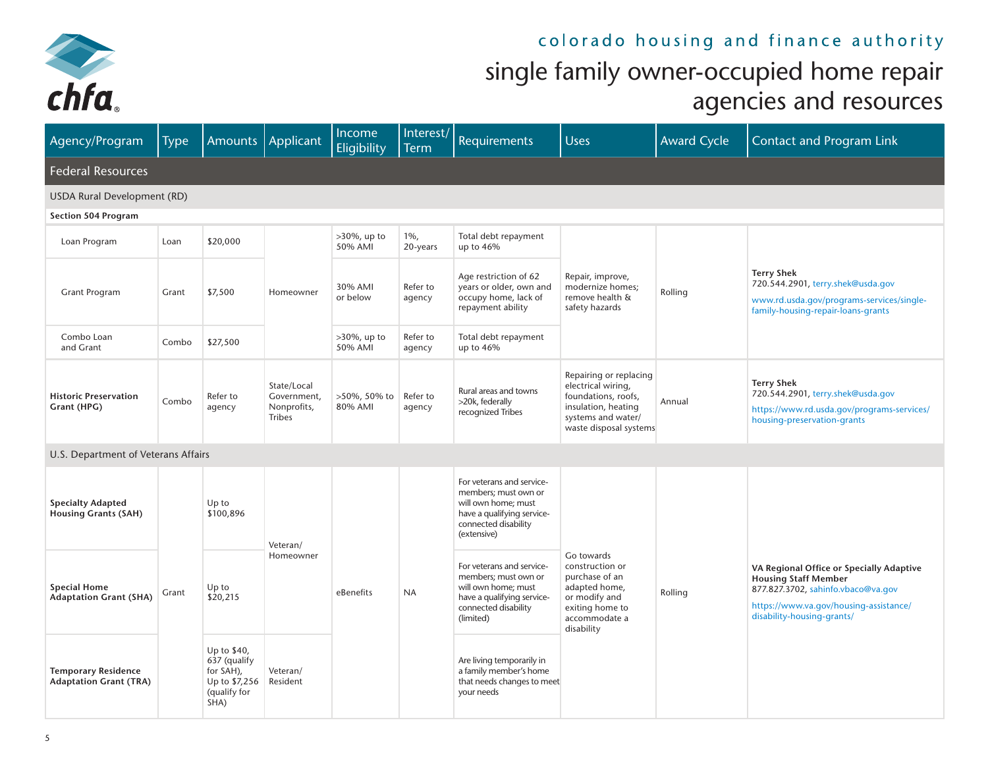

## colorado housing and finance authority single family owner-occupied home repair

## agencies and resources

| Agency/Program                                              | <b>Type</b> | <b>Amounts</b>                                                                    | Applicant                                                  | Income<br><b>Eligibility</b> | Interest/<br><b>Term</b> | Requirements                                                                                                                                  | <b>Uses</b>                                                                                                                                | <b>Award Cycle</b> | <b>Contact and Program Link</b>                                                                                                                                                       |  |  |
|-------------------------------------------------------------|-------------|-----------------------------------------------------------------------------------|------------------------------------------------------------|------------------------------|--------------------------|-----------------------------------------------------------------------------------------------------------------------------------------------|--------------------------------------------------------------------------------------------------------------------------------------------|--------------------|---------------------------------------------------------------------------------------------------------------------------------------------------------------------------------------|--|--|
| <b>Federal Resources</b>                                    |             |                                                                                   |                                                            |                              |                          |                                                                                                                                               |                                                                                                                                            |                    |                                                                                                                                                                                       |  |  |
| <b>USDA Rural Development (RD)</b>                          |             |                                                                                   |                                                            |                              |                          |                                                                                                                                               |                                                                                                                                            |                    |                                                                                                                                                                                       |  |  |
| <b>Section 504 Program</b>                                  |             |                                                                                   |                                                            |                              |                          |                                                                                                                                               |                                                                                                                                            |                    |                                                                                                                                                                                       |  |  |
| Loan Program                                                | Loan        | \$20,000                                                                          |                                                            | $>30\%$ , up to<br>50% AMI   | $1\%$ ,<br>20-years      | Total debt repayment<br>up to 46%                                                                                                             |                                                                                                                                            |                    |                                                                                                                                                                                       |  |  |
| <b>Grant Program</b>                                        | Grant       | \$7,500                                                                           | Homeowner                                                  | 30% AMI<br>or below          | Refer to<br>agency       | Age restriction of 62<br>years or older, own and<br>occupy home, lack of<br>repayment ability                                                 | Repair, improve,<br>modernize homes;<br>remove health &<br>safety hazards                                                                  | Rolling            | <b>Terry Shek</b><br>720.544.2901, terry.shek@usda.gov<br>www.rd.usda.gov/programs-services/single-<br>family-housing-repair-loans-grants                                             |  |  |
| Combo Loan<br>and Grant                                     | Combo       | \$27,500                                                                          |                                                            | $>30\%$ , up to<br>50% AMI   | Refer to<br>agency       | Total debt repayment<br>up to 46%                                                                                                             |                                                                                                                                            |                    |                                                                                                                                                                                       |  |  |
| <b>Historic Preservation</b><br>Grant (HPG)                 | Combo       | Refer to<br>agency                                                                | State/Local<br>Government,<br>Nonprofits,<br><b>Tribes</b> | >50%, 50% to<br>80% AMI      | Refer to<br>agency       | Rural areas and towns<br>>20k, federally<br>recognized Tribes                                                                                 | Repairing or replacing<br>electrical wiring,<br>foundations, roofs,<br>insulation, heating<br>systems and water/<br>waste disposal systems | Annual             | <b>Terry Shek</b><br>720.544.2901, terry.shek@usda.gov<br>https://www.rd.usda.gov/programs-services/<br>housing-preservation-grants                                                   |  |  |
| U.S. Department of Veterans Affairs                         |             |                                                                                   |                                                            |                              |                          |                                                                                                                                               |                                                                                                                                            |                    |                                                                                                                                                                                       |  |  |
| <b>Specialty Adapted</b><br><b>Housing Grants (SAH)</b>     |             | Up to<br>\$100,896                                                                | Veteran/                                                   |                              |                          | For veterans and service-<br>members; must own or<br>will own home; must<br>have a qualifying service-<br>connected disability<br>(extensive) |                                                                                                                                            |                    |                                                                                                                                                                                       |  |  |
| <b>Special Home</b><br><b>Adaptation Grant (SHA)</b>        | Grant       | Up to<br>\$20,215                                                                 | Homeowner                                                  | eBenefits                    | <b>NA</b>                | For veterans and service-<br>members; must own or<br>will own home; must<br>have a qualifying service-<br>connected disability<br>(limited)   | Go towards<br>construction or<br>purchase of an<br>adapted home,<br>or modify and<br>exiting home to<br>accommodate a<br>disability        | Rolling            | VA Regional Office or Specially Adaptive<br><b>Housing Staff Member</b><br>877.827.3702, sahinfo.vbaco@va.gov<br>https://www.va.gov/housing-assistance/<br>disability-housing-grants/ |  |  |
| <b>Temporary Residence</b><br><b>Adaptation Grant (TRA)</b> |             | Up to \$40,<br>637 (qualify<br>for SAH),<br>Up to \$7,256<br>(qualify for<br>SHA) | Veteran/<br>Resident                                       |                              |                          | Are living temporarily in<br>a family member's home<br>that needs changes to meet<br>your needs                                               |                                                                                                                                            |                    |                                                                                                                                                                                       |  |  |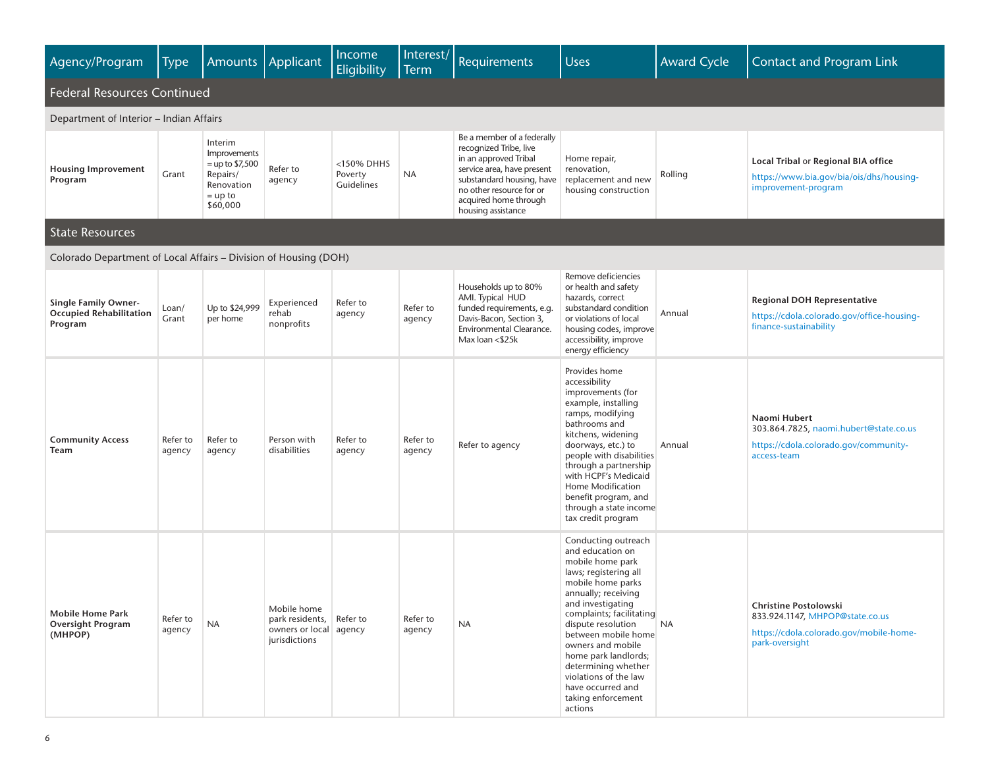| Agency/Program                                                           | Type               | Amounts                                                                                         | Applicant                                                                 | Income<br>Eligibility                  | Interest/<br><b>Term</b> | Requirements                                                                                                                                                                                                        | <b>Uses</b>                                                                                                                                                                                                                                                                                                                                                                       | <b>Award Cycle</b> | <b>Contact and Program Link</b>                                                                                              |  |  |
|--------------------------------------------------------------------------|--------------------|-------------------------------------------------------------------------------------------------|---------------------------------------------------------------------------|----------------------------------------|--------------------------|---------------------------------------------------------------------------------------------------------------------------------------------------------------------------------------------------------------------|-----------------------------------------------------------------------------------------------------------------------------------------------------------------------------------------------------------------------------------------------------------------------------------------------------------------------------------------------------------------------------------|--------------------|------------------------------------------------------------------------------------------------------------------------------|--|--|
| <b>Federal Resources Continued</b>                                       |                    |                                                                                                 |                                                                           |                                        |                          |                                                                                                                                                                                                                     |                                                                                                                                                                                                                                                                                                                                                                                   |                    |                                                                                                                              |  |  |
| Department of Interior – Indian Affairs                                  |                    |                                                                                                 |                                                                           |                                        |                          |                                                                                                                                                                                                                     |                                                                                                                                                                                                                                                                                                                                                                                   |                    |                                                                                                                              |  |  |
| <b>Housing Improvement</b><br>Program                                    | Grant              | Interim<br>Improvements<br>$=$ up to \$7,500<br>Repairs/<br>Renovation<br>$=$ up to<br>\$60,000 | Refer to<br>agency                                                        | $<$ 150% DHHS<br>Poverty<br>Guidelines | <b>NA</b>                | Be a member of a federally<br>recognized Tribe, live<br>in an approved Tribal<br>service area, have present<br>substandard housing, have<br>no other resource for or<br>acquired home through<br>housing assistance | Home repair,<br>renovation,<br>replacement and new<br>housing construction                                                                                                                                                                                                                                                                                                        | Rolling            | Local Tribal or Regional BIA office<br>https://www.bia.gov/bia/ois/dhs/housing-<br>improvement-program                       |  |  |
| <b>State Resources</b>                                                   |                    |                                                                                                 |                                                                           |                                        |                          |                                                                                                                                                                                                                     |                                                                                                                                                                                                                                                                                                                                                                                   |                    |                                                                                                                              |  |  |
| Colorado Department of Local Affairs – Division of Housing (DOH)         |                    |                                                                                                 |                                                                           |                                        |                          |                                                                                                                                                                                                                     |                                                                                                                                                                                                                                                                                                                                                                                   |                    |                                                                                                                              |  |  |
| <b>Single Family Owner-</b><br><b>Occupied Rehabilitation</b><br>Program | Loan/<br>Grant     | Up to \$24,999<br>per home                                                                      | Experienced<br>rehab<br>nonprofits                                        | Refer to<br>agency                     | Refer to<br>agency       | Households up to 80%<br>AMI. Typical HUD<br>funded requirements, e.g.<br>Davis-Bacon, Section 3,<br>Environmental Clearance.<br>Max loan <\$25k                                                                     | Remove deficiencies<br>or health and safety<br>hazards, correct<br>substandard condition<br>or violations of local<br>housing codes, improve<br>accessibility, improve<br>energy efficiency                                                                                                                                                                                       | Annual             | <b>Regional DOH Representative</b><br>https://cdola.colorado.gov/office-housing-<br>finance-sustainability                   |  |  |
| <b>Community Access</b><br>Team                                          | Refer to<br>agency | Refer to<br>agency                                                                              | Person with<br>disabilities                                               | Refer to<br>agency                     | Refer to<br>agency       | Refer to agency                                                                                                                                                                                                     | Provides home<br>accessibility<br>improvements (for<br>example, installing<br>ramps, modifying<br>bathrooms and<br>kitchens, widening<br>doorways, etc.) to<br>people with disabilities<br>through a partnership<br>with HCPF's Medicaid<br>Home Modification<br>benefit program, and<br>through a state income<br>tax credit program                                             | Annual             | Naomi Hubert<br>303.864.7825, naomi.hubert@state.co.us<br>https://cdola.colorado.gov/community-<br>access-team               |  |  |
| <b>Mobile Home Park</b><br><b>Oversight Program</b><br>(MHPOP)           | Refer to<br>agency | <b>NA</b>                                                                                       | Mobile home<br>park residents,<br>owners or local agency<br>jurisdictions | Refer to                               | Refer to<br>agency       | <b>NA</b>                                                                                                                                                                                                           | Conducting outreach<br>and education on<br>mobile home park<br>laws; registering all<br>mobile home parks<br>annually; receiving<br>and investigating<br>complaints; facilitating<br>dispute resolution<br>between mobile home<br>owners and mobile<br>home park landlords;<br>determining whether<br>violations of the law<br>have occurred and<br>taking enforcement<br>actions | <b>NA</b>          | <b>Christine Postolowski</b><br>833.924.1147, MHPOP@state.co.us<br>https://cdola.colorado.gov/mobile-home-<br>park-oversight |  |  |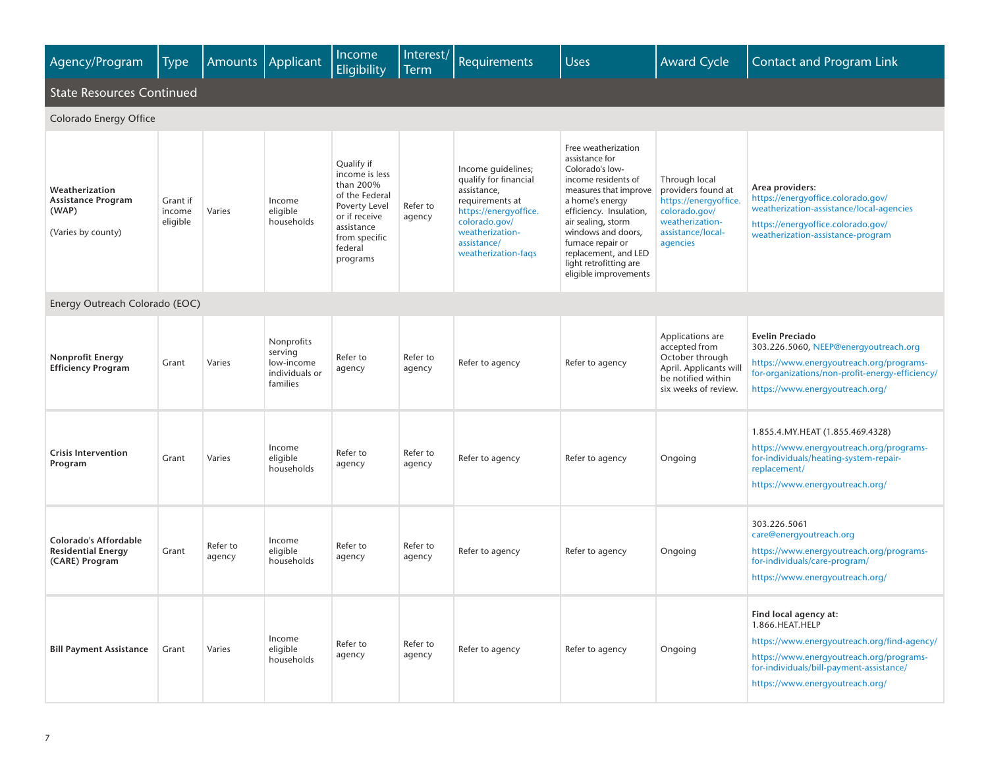| Agency/Program                                                             | Type                           | Amounts            | Applicant                                                         | Income<br>Eligibility                                                                                                                               | Interest/<br><b>Term</b> | Requirements                                                                                                                                                                     | <b>Uses</b>                                                                                                                                                                                                                                                                                        | <b>Award Cycle</b>                                                                                                                | <b>Contact and Program Link</b>                                                                                                                                                                                    |  |
|----------------------------------------------------------------------------|--------------------------------|--------------------|-------------------------------------------------------------------|-----------------------------------------------------------------------------------------------------------------------------------------------------|--------------------------|----------------------------------------------------------------------------------------------------------------------------------------------------------------------------------|----------------------------------------------------------------------------------------------------------------------------------------------------------------------------------------------------------------------------------------------------------------------------------------------------|-----------------------------------------------------------------------------------------------------------------------------------|--------------------------------------------------------------------------------------------------------------------------------------------------------------------------------------------------------------------|--|
| <b>State Resources Continued</b>                                           |                                |                    |                                                                   |                                                                                                                                                     |                          |                                                                                                                                                                                  |                                                                                                                                                                                                                                                                                                    |                                                                                                                                   |                                                                                                                                                                                                                    |  |
| Colorado Energy Office                                                     |                                |                    |                                                                   |                                                                                                                                                     |                          |                                                                                                                                                                                  |                                                                                                                                                                                                                                                                                                    |                                                                                                                                   |                                                                                                                                                                                                                    |  |
| Weatherization<br><b>Assistance Program</b><br>(WAP)<br>(Varies by county) | Grant if<br>income<br>eligible | Varies             | Income<br>eligible<br>households                                  | Qualify if<br>income is less<br>than 200%<br>of the Federal<br>Poverty Level<br>or if receive<br>assistance<br>from specific<br>federal<br>programs | Refer to<br>agency       | Income guidelines;<br>qualify for financial<br>assistance,<br>requirements at<br>https://energyoffice.<br>colorado.gov/<br>weatherization-<br>assistance/<br>weatherization-faqs | Free weatherization<br>assistance for<br>Colorado's low-<br>income residents of<br>measures that improve<br>a home's energy<br>efficiency. Insulation,<br>air sealing, storm<br>windows and doors,<br>furnace repair or<br>replacement, and LED<br>light retrofitting are<br>eligible improvements | Through local<br>providers found at<br>https://energyoffice.<br>colorado.gov/<br>weatherization-<br>assistance/local-<br>agencies | Area providers:<br>https://energyoffice.colorado.gov/<br>weatherization-assistance/local-agencies<br>https://energyoffice.colorado.gov/<br>weatherization-assistance-program                                       |  |
| Energy Outreach Colorado (EOC)                                             |                                |                    |                                                                   |                                                                                                                                                     |                          |                                                                                                                                                                                  |                                                                                                                                                                                                                                                                                                    |                                                                                                                                   |                                                                                                                                                                                                                    |  |
| <b>Nonprofit Energy</b><br><b>Efficiency Program</b>                       | Grant                          | Varies             | Nonprofits<br>serving<br>low-income<br>individuals or<br>families | Refer to<br>agency                                                                                                                                  | Refer to<br>agency       | Refer to agency                                                                                                                                                                  | Refer to agency                                                                                                                                                                                                                                                                                    | Applications are<br>accepted from<br>October through<br>April. Applicants will<br>be notified within<br>six weeks of review.      | <b>Evelin Preciado</b><br>303.226.5060, NEEP@energyoutreach.org<br>https://www.energyoutreach.org/programs-<br>for-organizations/non-profit-energy-efficiency/<br>https://www.energyoutreach.org/                  |  |
| <b>Crisis Intervention</b><br>Program                                      | Grant                          | Varies             | Income<br>eligible<br>households                                  | Refer to<br>agency                                                                                                                                  | Refer to<br>agency       | Refer to agency                                                                                                                                                                  | Refer to agency                                                                                                                                                                                                                                                                                    | Ongoing                                                                                                                           | 1.855.4. MY. HEAT (1.855.469.4328)<br>https://www.energyoutreach.org/programs-<br>for-individuals/heating-system-repair-<br>replacement/<br>https://www.energyoutreach.org/                                        |  |
| Colorado's Affordable<br><b>Residential Energy</b><br>(CARE) Program       | Grant                          | Refer to<br>agency | Income<br>eligible<br>households                                  | Refer to<br>agency                                                                                                                                  | Refer to<br>agency       | Refer to agency                                                                                                                                                                  | Refer to agency                                                                                                                                                                                                                                                                                    | Ongoing                                                                                                                           | 303.226.5061<br>care@energyoutreach.org<br>https://www.energyoutreach.org/programs-<br>for-individuals/care-program/<br>https://www.energyoutreach.org/                                                            |  |
| <b>Bill Payment Assistance</b>                                             | Grant                          | Varies             | Income<br>eligible<br>households                                  | Refer to<br>agency                                                                                                                                  | Refer to<br>agency       | Refer to agency                                                                                                                                                                  | Refer to agency                                                                                                                                                                                                                                                                                    | Ongoing                                                                                                                           | Find local agency at:<br>1.866.HEAT.HELP<br>https://www.energyoutreach.org/find-agency/<br>https://www.energyoutreach.org/programs-<br>for-individuals/bill-payment-assistance/<br>https://www.energyoutreach.org/ |  |